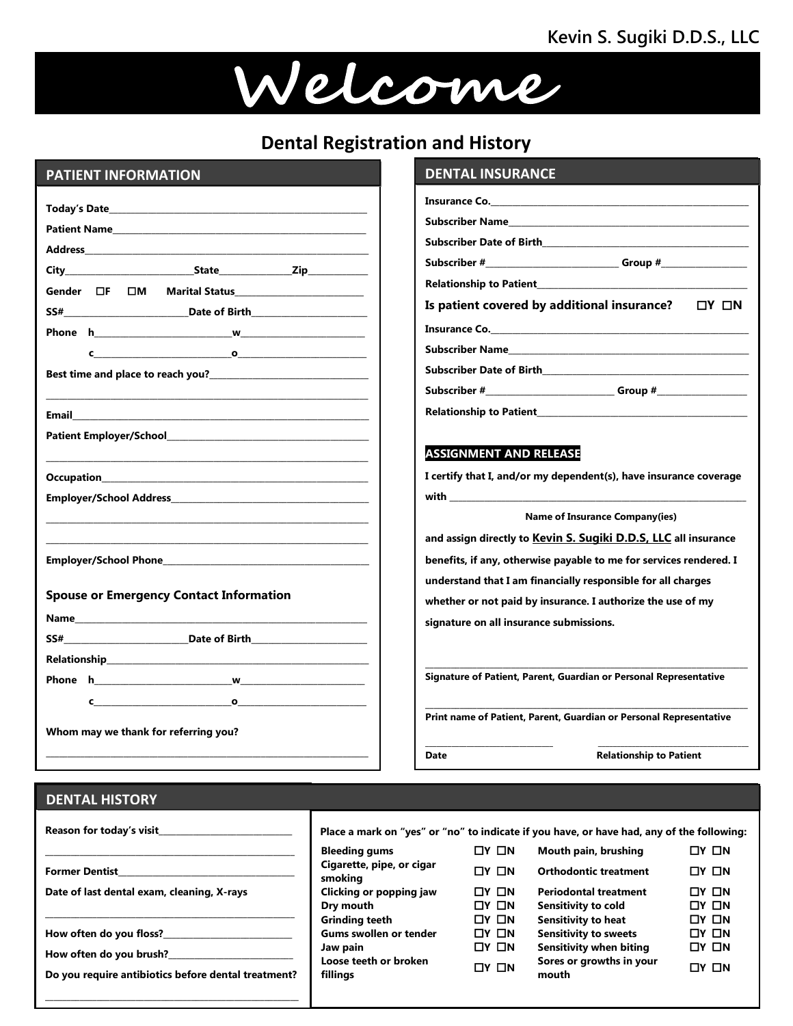# **Kevin S. Sugiki D.D.S., LLC**



### **PATIENT INFORMATION**

| <b>Dental Registration and History</b>                                                                                                                                                                                                                                                                                                                    |                                                                                                   |  |  |
|-----------------------------------------------------------------------------------------------------------------------------------------------------------------------------------------------------------------------------------------------------------------------------------------------------------------------------------------------------------|---------------------------------------------------------------------------------------------------|--|--|
| <b>PATIENT INFORMATION</b>                                                                                                                                                                                                                                                                                                                                | <b>DENTAL INSURA</b>                                                                              |  |  |
| Patient Name and the contract of the contract of the contract of the contract of the contract of the contract of the contract of the contract of the contract of the contract of the contract of the contract of the contract                                                                                                                             | Insurance Co._______<br>Subscriber Name____<br><b>Subscriber Date of Bir</b><br>Subscriber #      |  |  |
| $\mathbf c$ , and $\mathbf c$ , and $\mathbf c$ , and $\mathbf c$ , and $\mathbf c$ , and $\mathbf c$ , and $\mathbf c$ , and $\mathbf c$ , and $\mathbf c$ , and $\mathbf c$ , and $\mathbf c$ , and $\mathbf c$ , and $\mathbf c$ , and $\mathbf c$ , and $\mathbf c$ , and $\mathbf c$ , and $\mathbf c$ , and                                         | <b>Relationship to Patier</b><br>Is patient covered<br>Insurance Co._______<br>Subscriber Name___ |  |  |
| Best time and place to reach you?<br><u> Lettime</u> and place to reach you?                                                                                                                                                                                                                                                                              | <b>Subscriber Date of Bir</b><br>Subscriber #________<br><b>Relationship to Patier</b>            |  |  |
| Patient Employer/School and the control of the control of the control of the control of the control of the control of the control of the control of the control of the control of the control of the control of the control of                                                                                                                            | <b>ASSIGNMENT AND</b>                                                                             |  |  |
|                                                                                                                                                                                                                                                                                                                                                           | I certify that I, and/or<br>N<br>and assign directly to                                           |  |  |
| <b>Spouse or Emergency Contact Information</b><br>Name and the state of the state of the state of the state of the state of the state of the state of the state of the state of the state of the state of the state of the state of the state of the state of the state of the s                                                                          | benefits, if any, other<br>understand that I am<br>whether or not paid b                          |  |  |
|                                                                                                                                                                                                                                                                                                                                                           | signature on all insura<br><b>Signature of Patient, Pa</b>                                        |  |  |
| $\mathbf c$ , and $\mathbf c$ , and $\mathbf c$ , and $\mathbf c$ , and $\mathbf c$ , and $\mathbf c$ , and $\mathbf c$ , and $\mathbf c$ , and $\mathbf c$ , and $\mathbf c$ , and $\mathbf c$ , and $\mathbf c$ , and $\mathbf c$ , and $\mathbf c$ , and $\mathbf c$ , and $\mathbf c$ , and $\mathbf c$ , and<br>Whom may we thank for referring you? | Print name of Patient, I                                                                          |  |  |
|                                                                                                                                                                                                                                                                                                                                                           | <b>Date</b>                                                                                       |  |  |
| <b>DENTAL HISTORY</b>                                                                                                                                                                                                                                                                                                                                     |                                                                                                   |  |  |

# **DENTAL INSURANCE DENTAL INSURANCE**

| Subscriber #___________________________________Group #__________________________ |  |
|----------------------------------------------------------------------------------|--|
|                                                                                  |  |
| Is patient covered by additional insurance? $\square Y \square N$                |  |
|                                                                                  |  |
|                                                                                  |  |
|                                                                                  |  |
| Subscriber #_________________________________Group #____________________________ |  |
| <b>Relationship to Patient</b>                                                   |  |

#### **ASSIGNMENT AND RELEASE**

**I certify that I, and/or my dependent(s), have insurance coverage with \_\_\_\_\_\_\_\_\_\_\_\_\_\_\_\_\_\_\_\_\_\_\_\_\_\_\_\_\_\_\_\_\_\_\_\_\_\_\_\_\_\_\_\_\_\_\_\_\_\_\_\_\_\_\_\_\_\_\_\_\_\_\_\_\_\_\_\_\_**

 **Name of Insurance Company(ies)**

**and assign directly to Kevin S. Sugiki D.D.S, LLC all insurance benefits, if any, otherwise payable to me for services rendered. I understand that I am financially responsible for all charges whether or not paid by insurance. I authorize the use of my signature on all insurance submissions.**

**Signature of Patient, Parent, Guardian or Personal Representative**

**Print name of Patient, Parent, Guardian or Personal Representative**

 $\mathcal{L}_\mathcal{L} = \{ \mathcal{L}_\mathcal{L} = \{ \mathcal{L}_\mathcal{L} = \{ \mathcal{L}_\mathcal{L} = \{ \mathcal{L}_\mathcal{L} = \{ \mathcal{L}_\mathcal{L} = \{ \mathcal{L}_\mathcal{L} = \{ \mathcal{L}_\mathcal{L} = \{ \mathcal{L}_\mathcal{L} = \{ \mathcal{L}_\mathcal{L} = \{ \mathcal{L}_\mathcal{L} = \{ \mathcal{L}_\mathcal{L} = \{ \mathcal{L}_\mathcal{L} = \{ \mathcal{L}_\mathcal{L} = \{ \mathcal{L}_\mathcal{$ 

**Date Date Relationship to Patient** 

#### **DENTAL HISTORY**

| Reason for today's visit                                                       | Place a mark on "yes" or "no" to indicate if you have, or have had, any of the following: |                   |                                   |                   |
|--------------------------------------------------------------------------------|-------------------------------------------------------------------------------------------|-------------------|-----------------------------------|-------------------|
|                                                                                | <b>Bleeding gums</b>                                                                      | $\Box Y$ $\Box N$ | Mouth pain, brushing              | $\Box Y$ $\Box N$ |
| <b>Former Dentist</b>                                                          | Cigarette, pipe, or cigar<br>smoking                                                      | $\Box Y$ $\Box N$ | <b>Orthodontic treatment</b>      | $\Box Y$ $\Box N$ |
| Date of last dental exam, cleaning, X-rays                                     | Clicking or popping jaw                                                                   | $\Box Y$ $\Box N$ | <b>Periodontal treatment</b>      | $\Box Y$ $\Box N$ |
|                                                                                | Dry mouth                                                                                 | $\Box Y$ $\Box N$ | Sensitivity to cold               | $\Box Y$ $\Box N$ |
|                                                                                | <b>Grinding teeth</b>                                                                     | $\Box Y$ $\Box N$ | <b>Sensitivity to heat</b>        | $\Box Y$ $\Box N$ |
| How often do you floss?                                                        | Gums swollen or tender                                                                    | $\Box Y$ $\Box N$ | <b>Sensitivity to sweets</b>      | $\Box Y$ $\Box N$ |
|                                                                                | Jaw pain                                                                                  | $\Box Y$ $\Box N$ | <b>Sensitivity when biting</b>    | $\Box Y$ $\Box N$ |
| How often do you brush?<br>Do you require antibiotics before dental treatment? | Loose teeth or broken<br>fillings                                                         | $\Box Y$ $\Box N$ | Sores or growths in your<br>mouth | $\Box Y$ $\Box N$ |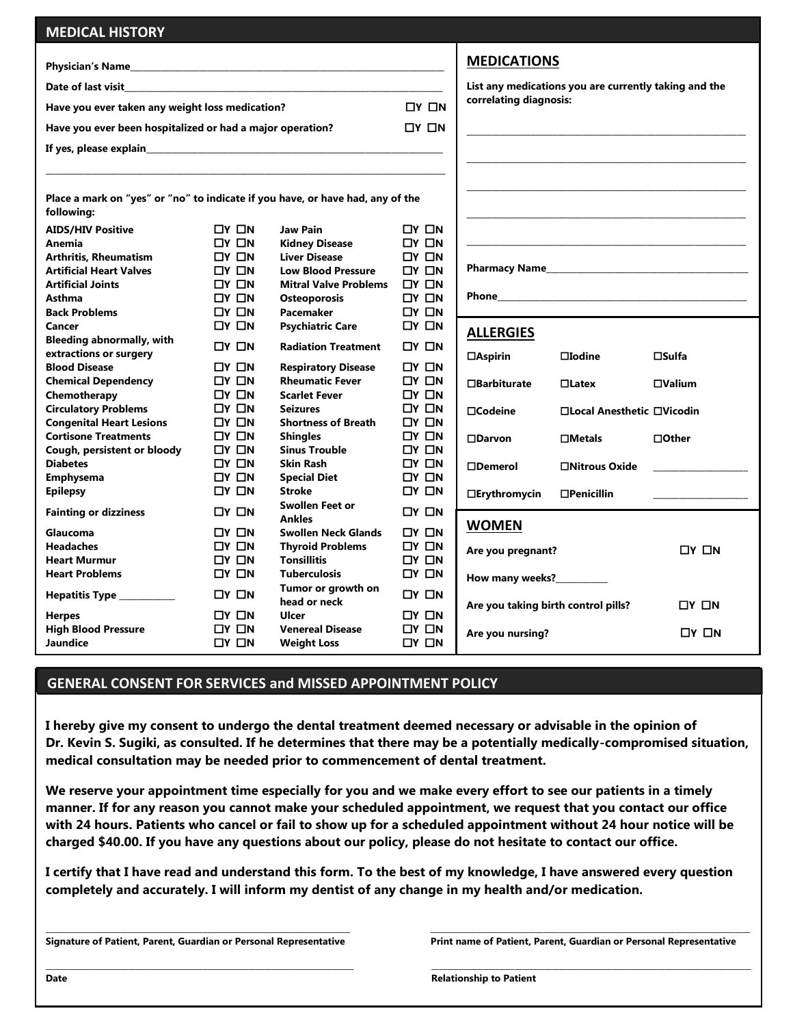| <b>MEDICAL HISTORY</b>                                                                       |                   |                                    |                   |                            |                                                          |                   |  |
|----------------------------------------------------------------------------------------------|-------------------|------------------------------------|-------------------|----------------------------|----------------------------------------------------------|-------------------|--|
|                                                                                              |                   |                                    |                   | <b>MEDICATIONS</b>         |                                                          |                   |  |
|                                                                                              |                   |                                    |                   |                            |                                                          |                   |  |
|                                                                                              |                   |                                    |                   |                            | List any medications you are currently taking and the    |                   |  |
| Have you ever taken any weight loss medication?<br>$\Box Y$ $\Box N$                         |                   |                                    |                   | correlating diagnosis:     |                                                          |                   |  |
| $\Box Y$ $\Box N$<br>Have you ever been hospitalized or had a major operation?               |                   |                                    |                   |                            |                                                          |                   |  |
|                                                                                              |                   |                                    |                   |                            |                                                          |                   |  |
|                                                                                              |                   |                                    |                   |                            |                                                          |                   |  |
|                                                                                              |                   |                                    |                   |                            |                                                          |                   |  |
| Place a mark on "yes" or "no" to indicate if you have, or have had, any of the<br>following: |                   |                                    |                   |                            |                                                          |                   |  |
| <b>AIDS/HIV Positive</b>                                                                     | $\Box Y$ $\Box N$ | <b>Jaw Pain</b>                    | $\Box Y$ $\Box N$ |                            |                                                          |                   |  |
| Anemia                                                                                       | $\Box Y$ $\Box N$ | <b>Kidney Disease</b>              | $\Box$ Y $\Box$ N |                            |                                                          |                   |  |
| <b>Arthritis, Rheumatism</b>                                                                 | $\Box Y$ $\Box N$ | <b>Liver Disease</b>               | $\Box Y$ $\Box N$ |                            |                                                          |                   |  |
| <b>Artificial Heart Valves</b>                                                               | $\Box Y$ $\Box N$ | <b>Low Blood Pressure</b>          | ⊔ר ⊡ו             |                            |                                                          |                   |  |
| <b>Artificial Joints</b>                                                                     | $\Box Y$ $\Box N$ | <b>Mitral Valve Problems</b>       | $\Box Y$ $\Box N$ |                            |                                                          |                   |  |
| <b>Asthma</b>                                                                                | $\Box Y$ $\Box N$ | <b>Osteoporosis</b>                | $\Box Y$ $\Box N$ |                            |                                                          |                   |  |
| <b>Back Problems</b>                                                                         | $\Box Y$ $\Box N$ | Pacemaker                          | ⊔Ү □              |                            |                                                          |                   |  |
| Cancer                                                                                       | $\Box Y$ $\Box N$ | <b>Psychiatric Care</b>            | □Y □N             | <b>ALLERGIES</b>           |                                                          |                   |  |
| <b>Bleeding abnormally, with</b><br>extractions or surgery                                   | $\Box Y$ $\Box N$ | <b>Radiation Treatment</b>         | ∟ח צם             |                            |                                                          | $\square$ Sulfa   |  |
| <b>Blood Disease</b>                                                                         | $\Box Y$ $\Box N$ | <b>Respiratory Disease</b>         | $\Box Y$ $\Box N$ | $\Box$ Aspirin             | $\Box$ Iodine                                            |                   |  |
| <b>Chemical Dependency</b>                                                                   | $\Box Y$ $\Box N$ | <b>Rheumatic Fever</b>             | $\Box Y$ $\Box N$ | $\Box$ Barbiturate         | $\Box$ Latex                                             | $\square$ Valium  |  |
| Chemotherapy                                                                                 | $\Box Y$ $\Box N$ | <b>Scarlet Fever</b>               | $\Box Y$ $\Box N$ |                            |                                                          |                   |  |
| <b>Circulatory Problems</b>                                                                  | $\Box Y$ $\Box N$ | <b>Seizures</b>                    | $\Box Y$ $\Box N$ | $\Box$ Codeine             | □Local Anesthetic □Vicodin                               |                   |  |
| <b>Congenital Heart Lesions</b>                                                              | $\Box Y$ $\Box N$ | <b>Shortness of Breath</b>         | $\Box Y$ $\Box N$ |                            |                                                          |                   |  |
| <b>Cortisone Treatments</b>                                                                  | $\Box Y$ $\Box N$ | <b>Shingles</b>                    | $\Box Y$ $\Box N$ | $\Box$ Darvon              | $\square$ Metals                                         | $\Box$ Other      |  |
| Cough, persistent or bloody                                                                  | $\Box Y$ $\Box N$ | <b>Sinus Trouble</b>               | $\Box Y$ $\Box N$ |                            |                                                          |                   |  |
| <b>Diabetes</b>                                                                              | $\Box Y$ $\Box N$ | <b>Skin Rash</b>                   | $\Box Y$ $\Box N$ | $\square$ Demerol          | □Nitrous Oxide                                           |                   |  |
| <b>Emphysema</b>                                                                             | $\Box Y$ $\Box N$ | <b>Special Diet</b>                | $\Box Y$ $\Box N$ |                            |                                                          |                   |  |
| <b>Epilepsy</b>                                                                              | $\Box Y$ $\Box N$ | Stroke                             | $\Box Y$ $\Box N$ | $\Box$ Erythromycin        | $\Box$ Penicillin                                        |                   |  |
| <b>Fainting or dizziness</b>                                                                 | $\Box Y$ $\Box N$ | Swollen Feet or<br><b>Ankles</b>   | ⊔ר ⊡ו             |                            |                                                          |                   |  |
| Glaucoma                                                                                     | $\Box Y$ $\Box N$ | <b>Swollen Neck Glands</b>         | $\Box Y$ $\Box N$ |                            | <b>WOMEN</b>                                             |                   |  |
| <b>Headaches</b>                                                                             | $\Box Y$ $\Box N$ | <b>Thyroid Problems</b>            | $\Box Y$ $\Box N$ | Are you pregnant?<br>OY ON |                                                          |                   |  |
| <b>Heart Murmur</b>                                                                          | $\Box Y$ $\Box N$ | <b>Tonsillitis</b>                 | $\Box Y$ $\Box N$ |                            |                                                          |                   |  |
| <b>Heart Problems</b>                                                                        | $\Box Y$ $\Box N$ | <b>Tuberculosis</b>                | $\Box Y$ $\Box N$ | How many weeks?__________  |                                                          |                   |  |
| Hepatitis Type __________                                                                    | $\Box Y$ $\Box N$ | Tumor or growth on<br>head or neck | ⊔ר ⊡ו             |                            |                                                          |                   |  |
| <b>Herpes</b>                                                                                | $\Box Y$ $\Box N$ | Ulcer                              | $\Box Y$ $\Box N$ |                            | Are you taking birth control pills?<br>$\Box Y$ $\Box N$ |                   |  |
| <b>High Blood Pressure</b>                                                                   | $\Box Y$ $\Box N$ | <b>Venereal Disease</b>            | $\Box Y$ $\Box N$ |                            |                                                          |                   |  |
| Jaundice                                                                                     | $\Box Y$ $\Box N$ | <b>Weight Loss</b>                 | ⊔Ү □М             | Are you nursing?           |                                                          | $\Box Y$ $\Box N$ |  |

## **GENERAL CONSENT FOR SERVICES GENERAL CONSENT FOR SERVICES and MISSED APPOINTMENT POLICY**

**I hereby give my consent to undergo the dental treatment deemed necessary or advisable in the opinion of Dr. Kevin S. Sugiki, as consulted. If he determines that there may be a potentially medically-compromised situation, medical consultation may be needed prior to commencement of dental treatment.**

**We reserve your appointment time especially for you and we make every effort to see our patients in a timely manner. If for any reason you cannot make your scheduled appointment, we request that you contact our office with 24 hours. Patients who cancel or fail to show up for a scheduled appointment without 24 hour notice will be charged \$40.00. If you have any questions about our policy, please do not hesitate to contact our office.**

**I certify that I have read and understand this form. To the best of my knowledge, I have answered every question completely and accurately. I will inform my dentist of any change in my health and/or medication.** 

**\_\_\_\_\_\_\_\_\_\_\_\_\_\_\_\_\_\_\_\_\_\_\_\_\_\_\_\_\_\_\_\_\_\_\_\_\_\_\_\_\_\_\_\_\_\_\_\_\_\_\_\_\_\_\_\_\_\_\_\_\_\_\_\_\_\_\_\_\_\_\_\_\_\_\_\_\_\_\_\_\_ \_\_\_\_\_\_\_\_\_\_\_\_\_\_\_\_\_\_\_\_\_\_\_\_\_\_\_\_\_\_\_\_\_\_\_\_\_\_\_\_\_\_\_\_\_\_\_\_\_\_\_\_\_\_\_\_\_\_\_\_\_\_\_\_\_\_\_\_\_\_\_\_\_\_\_\_\_\_\_\_\_\_\_\_\_** 

**\_\_\_\_\_\_\_\_\_\_\_\_\_\_\_\_\_\_\_\_\_\_\_\_\_\_\_\_\_\_\_\_\_\_\_\_\_\_\_\_\_\_\_\_\_\_\_\_\_\_\_\_\_\_\_\_\_\_\_\_\_\_\_\_\_\_\_\_\_\_\_\_\_\_\_\_\_\_\_\_\_\_ \_\_\_\_\_\_\_\_\_\_\_\_\_\_\_\_\_\_\_\_\_\_\_\_\_\_\_\_\_\_\_\_\_\_\_\_\_\_\_\_\_\_\_\_\_\_\_\_\_\_\_\_\_\_\_\_\_\_\_\_\_\_\_\_\_\_\_\_\_\_\_\_\_\_\_\_\_\_\_\_\_\_\_\_\_**

**Signature of Patient, Parent, Guardian or Personal Representative Print name of Patient, Parent, Guardian or Personal Representative**

**Date Date Relationship to Patient Relationship to Patient Relationship to Patient**